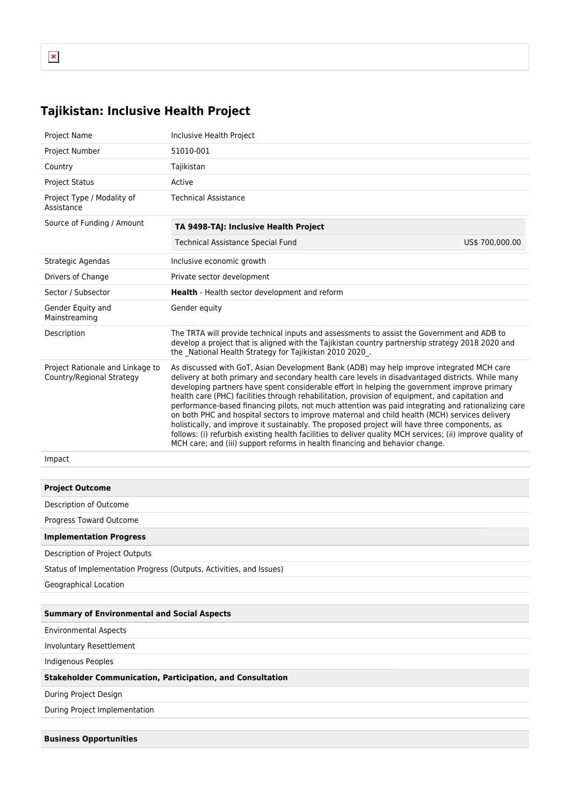## **Tajikistan: Inclusive Health Project**

| <b>Project Name</b>                                                 | Inclusive Health Project                                                                                                                                                                                                                                                                                                                                                                                                                                                                                                                                                                                                                                                                                                                                                                                                                                                                              |  |  |  |  |  |  |
|---------------------------------------------------------------------|-------------------------------------------------------------------------------------------------------------------------------------------------------------------------------------------------------------------------------------------------------------------------------------------------------------------------------------------------------------------------------------------------------------------------------------------------------------------------------------------------------------------------------------------------------------------------------------------------------------------------------------------------------------------------------------------------------------------------------------------------------------------------------------------------------------------------------------------------------------------------------------------------------|--|--|--|--|--|--|
| Project Number                                                      | 51010-001                                                                                                                                                                                                                                                                                                                                                                                                                                                                                                                                                                                                                                                                                                                                                                                                                                                                                             |  |  |  |  |  |  |
| Country                                                             | Tajikistan                                                                                                                                                                                                                                                                                                                                                                                                                                                                                                                                                                                                                                                                                                                                                                                                                                                                                            |  |  |  |  |  |  |
| <b>Project Status</b>                                               | Active                                                                                                                                                                                                                                                                                                                                                                                                                                                                                                                                                                                                                                                                                                                                                                                                                                                                                                |  |  |  |  |  |  |
| Project Type / Modality of<br>Assistance                            | <b>Technical Assistance</b>                                                                                                                                                                                                                                                                                                                                                                                                                                                                                                                                                                                                                                                                                                                                                                                                                                                                           |  |  |  |  |  |  |
| Source of Funding / Amount                                          | TA 9498-TAJ: Inclusive Health Project                                                                                                                                                                                                                                                                                                                                                                                                                                                                                                                                                                                                                                                                                                                                                                                                                                                                 |  |  |  |  |  |  |
|                                                                     | Technical Assistance Special Fund<br>US\$ 700,000.00                                                                                                                                                                                                                                                                                                                                                                                                                                                                                                                                                                                                                                                                                                                                                                                                                                                  |  |  |  |  |  |  |
| Strategic Agendas                                                   | Inclusive economic growth                                                                                                                                                                                                                                                                                                                                                                                                                                                                                                                                                                                                                                                                                                                                                                                                                                                                             |  |  |  |  |  |  |
| Drivers of Change                                                   | Private sector development                                                                                                                                                                                                                                                                                                                                                                                                                                                                                                                                                                                                                                                                                                                                                                                                                                                                            |  |  |  |  |  |  |
| Sector / Subsector                                                  | Health - Health sector development and reform                                                                                                                                                                                                                                                                                                                                                                                                                                                                                                                                                                                                                                                                                                                                                                                                                                                         |  |  |  |  |  |  |
| Gender Equity and<br>Mainstreaming                                  | Gender equity                                                                                                                                                                                                                                                                                                                                                                                                                                                                                                                                                                                                                                                                                                                                                                                                                                                                                         |  |  |  |  |  |  |
| Description                                                         | The TRTA will provide technical inputs and assessments to assist the Government and ADB to<br>develop a project that is aligned with the Tajikistan country partnership strategy 2018 2020 and<br>the National Health Strategy for Tajikistan 2010 2020.                                                                                                                                                                                                                                                                                                                                                                                                                                                                                                                                                                                                                                              |  |  |  |  |  |  |
| Project Rationale and Linkage to<br>Country/Regional Strategy       | As discussed with GoT, Asian Development Bank (ADB) may help improve integrated MCH care<br>delivery at both primary and secondary health care levels in disadvantaged districts. While many<br>developing partners have spent considerable effort in helping the government improve primary<br>health care (PHC) facilities through rehabilitation, provision of equipment, and capitation and<br>performance-based financing pilots, not much attention was paid integrating and rationalizing care<br>on both PHC and hospital sectors to improve maternal and child health (MCH) services delivery<br>holistically, and improve it sustainably. The proposed project will have three components, as<br>follows: (i) refurbish existing health facilities to deliver quality MCH services; (ii) improve quality of<br>MCH care; and (iii) support reforms in health financing and behavior change. |  |  |  |  |  |  |
| Impact                                                              |                                                                                                                                                                                                                                                                                                                                                                                                                                                                                                                                                                                                                                                                                                                                                                                                                                                                                                       |  |  |  |  |  |  |
|                                                                     |                                                                                                                                                                                                                                                                                                                                                                                                                                                                                                                                                                                                                                                                                                                                                                                                                                                                                                       |  |  |  |  |  |  |
| <b>Project Outcome</b>                                              |                                                                                                                                                                                                                                                                                                                                                                                                                                                                                                                                                                                                                                                                                                                                                                                                                                                                                                       |  |  |  |  |  |  |
| Description of Outcome                                              |                                                                                                                                                                                                                                                                                                                                                                                                                                                                                                                                                                                                                                                                                                                                                                                                                                                                                                       |  |  |  |  |  |  |
| Progress Toward Outcome                                             |                                                                                                                                                                                                                                                                                                                                                                                                                                                                                                                                                                                                                                                                                                                                                                                                                                                                                                       |  |  |  |  |  |  |
| <b>Implementation Progress</b>                                      |                                                                                                                                                                                                                                                                                                                                                                                                                                                                                                                                                                                                                                                                                                                                                                                                                                                                                                       |  |  |  |  |  |  |
| Description of Project Outputs                                      |                                                                                                                                                                                                                                                                                                                                                                                                                                                                                                                                                                                                                                                                                                                                                                                                                                                                                                       |  |  |  |  |  |  |
| Status of Implementation Progress (Outputs, Activities, and Issues) |                                                                                                                                                                                                                                                                                                                                                                                                                                                                                                                                                                                                                                                                                                                                                                                                                                                                                                       |  |  |  |  |  |  |
| Geographical Location                                               |                                                                                                                                                                                                                                                                                                                                                                                                                                                                                                                                                                                                                                                                                                                                                                                                                                                                                                       |  |  |  |  |  |  |
| <b>Summary of Environmental and Social Aspects</b>                  |                                                                                                                                                                                                                                                                                                                                                                                                                                                                                                                                                                                                                                                                                                                                                                                                                                                                                                       |  |  |  |  |  |  |
| <b>Environmental Aspects</b>                                        |                                                                                                                                                                                                                                                                                                                                                                                                                                                                                                                                                                                                                                                                                                                                                                                                                                                                                                       |  |  |  |  |  |  |
| Involuntary Resettlement                                            |                                                                                                                                                                                                                                                                                                                                                                                                                                                                                                                                                                                                                                                                                                                                                                                                                                                                                                       |  |  |  |  |  |  |
| Indigenous Peoples                                                  |                                                                                                                                                                                                                                                                                                                                                                                                                                                                                                                                                                                                                                                                                                                                                                                                                                                                                                       |  |  |  |  |  |  |
| <b>Stakeholder Communication, Participation, and Consultation</b>   |                                                                                                                                                                                                                                                                                                                                                                                                                                                                                                                                                                                                                                                                                                                                                                                                                                                                                                       |  |  |  |  |  |  |
| During Project Design                                               |                                                                                                                                                                                                                                                                                                                                                                                                                                                                                                                                                                                                                                                                                                                                                                                                                                                                                                       |  |  |  |  |  |  |
| During Project Implementation                                       |                                                                                                                                                                                                                                                                                                                                                                                                                                                                                                                                                                                                                                                                                                                                                                                                                                                                                                       |  |  |  |  |  |  |
|                                                                     |                                                                                                                                                                                                                                                                                                                                                                                                                                                                                                                                                                                                                                                                                                                                                                                                                                                                                                       |  |  |  |  |  |  |
| <b>Business Opportunities</b>                                       |                                                                                                                                                                                                                                                                                                                                                                                                                                                                                                                                                                                                                                                                                                                                                                                                                                                                                                       |  |  |  |  |  |  |